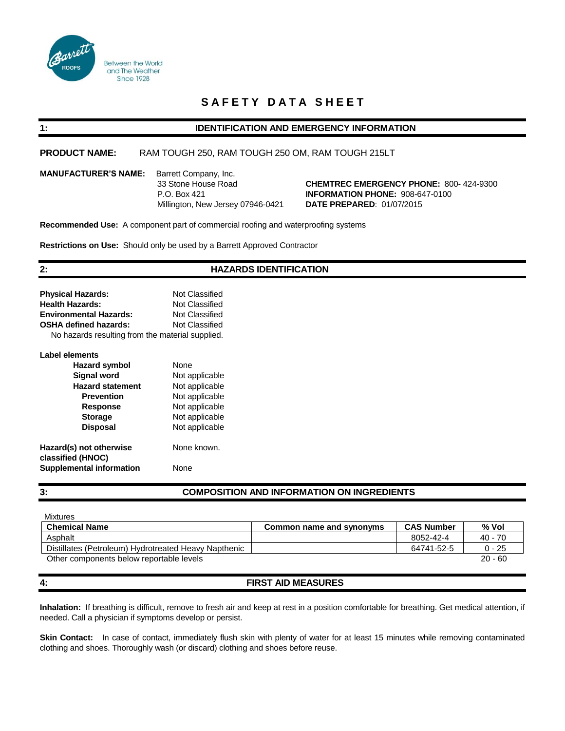

# **SAFETY DATA SHEET**

# **1: IDENTIFICATION AND EMERGENCY INFORMATION**

**PRODUCT NAME:** RAM TOUGH 250, RAM TOUGH 250 OM, RAM TOUGH 215LT

**MANUFACTURER'S NAME:** Barrett Company, Inc.

 33 Stone House Road **CHEMTREC EMERGENCY PHONE:** 800- 424-9300 P.O. Box 421 **INFORMATION PHONE:** 908-647-0100 Millington, New Jersey 07946-0421 **DATE PREPARED**: 01/07/2015

**Recommended Use:** A component part of commercial roofing and waterproofing systems

**Restrictions on Use:** Should only be used by a Barrett Approved Contractor

# **2: HAZARDS IDENTIFICATION**

| <b>Physical Hazards:</b>                         | Not Classified |  |  |
|--------------------------------------------------|----------------|--|--|
| <b>Health Hazards:</b>                           | Not Classified |  |  |
| <b>Environmental Hazards:</b>                    | Not Classified |  |  |
| <b>OSHA defined hazards:</b>                     | Not Classified |  |  |
| No hazards resulting from the material supplied. |                |  |  |
| Label elements                                   |                |  |  |

| <b>Hazard symbol</b>            | None           |
|---------------------------------|----------------|
| <b>Signal word</b>              | Not applicable |
| <b>Hazard statement</b>         | Not applicable |
| <b>Prevention</b>               | Not applicable |
| <b>Response</b>                 | Not applicable |
| <b>Storage</b>                  | Not applicable |
| <b>Disposal</b>                 | Not applicable |
| Hazard(s) not otherwise         | None known.    |
| classified (HNOC)               |                |
| <b>Supplemental information</b> | None           |

# **3: COMPOSITION AND INFORMATION ON INGREDIENTS**

| <b>Mixtures</b>                                      |                          |                   |           |
|------------------------------------------------------|--------------------------|-------------------|-----------|
| <b>Chemical Name</b>                                 | Common name and synonyms | <b>CAS Number</b> | % Vol     |
| Asphalt                                              |                          | 8052-42-4         | 40 - 70   |
| Distillates (Petroleum) Hydrotreated Heavy Napthenic |                          | 64741-52-5        | $0 - 25$  |
| Other components below reportable levels             |                          |                   | $20 - 60$ |

# **4: FIRST AID MEASURES**

**Inhalation:** If breathing is difficult, remove to fresh air and keep at rest in a position comfortable for breathing. Get medical attention, if needed. Call a physician if symptoms develop or persist.

**Skin Contact:** In case of contact, immediately flush skin with plenty of water for at least 15 minutes while removing contaminated clothing and shoes. Thoroughly wash (or discard) clothing and shoes before reuse.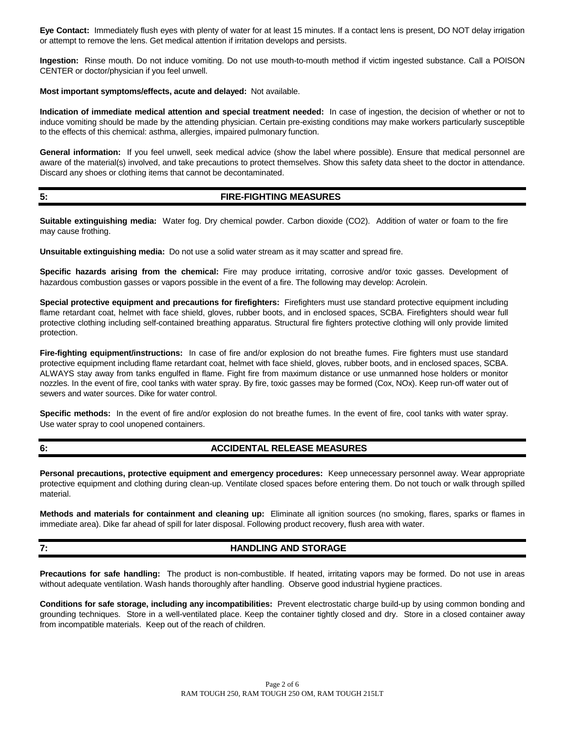**Eye Contact:** Immediately flush eyes with plenty of water for at least 15 minutes. If a contact lens is present, DO NOT delay irrigation or attempt to remove the lens. Get medical attention if irritation develops and persists.

**Ingestion:** Rinse mouth. Do not induce vomiting. Do not use mouth-to-mouth method if victim ingested substance. Call a POISON CENTER or doctor/physician if you feel unwell.

#### **Most important symptoms/effects, acute and delayed:** Not available.

**Indication of immediate medical attention and special treatment needed:** In case of ingestion, the decision of whether or not to induce vomiting should be made by the attending physician. Certain pre-existing conditions may make workers particularly susceptible to the effects of this chemical: asthma, allergies, impaired pulmonary function.

**General information:** If you feel unwell, seek medical advice (show the label where possible). Ensure that medical personnel are aware of the material(s) involved, and take precautions to protect themselves. Show this safety data sheet to the doctor in attendance. Discard any shoes or clothing items that cannot be decontaminated.

# **5: FIRE-FIGHTING MEASURES**

**Suitable extinguishing media:** Water fog. Dry chemical powder. Carbon dioxide (CO2). Addition of water or foam to the fire may cause frothing.

**Unsuitable extinguishing media:** Do not use a solid water stream as it may scatter and spread fire.

**Specific hazards arising from the chemical:** Fire may produce irritating, corrosive and/or toxic gasses. Development of hazardous combustion gasses or vapors possible in the event of a fire. The following may develop: Acrolein.

**Special protective equipment and precautions for firefighters:** Firefighters must use standard protective equipment including flame retardant coat, helmet with face shield, gloves, rubber boots, and in enclosed spaces, SCBA. Firefighters should wear full protective clothing including self-contained breathing apparatus. Structural fire fighters protective clothing will only provide limited protection.

**Fire-fighting equipment/instructions:** In case of fire and/or explosion do not breathe fumes. Fire fighters must use standard protective equipment including flame retardant coat, helmet with face shield, gloves, rubber boots, and in enclosed spaces, SCBA. ALWAYS stay away from tanks engulfed in flame. Fight fire from maximum distance or use unmanned hose holders or monitor nozzles. In the event of fire, cool tanks with water spray. By fire, toxic gasses may be formed (Cox, NOx). Keep run-off water out of sewers and water sources. Dike for water control.

**Specific methods:** In the event of fire and/or explosion do not breathe fumes. In the event of fire, cool tanks with water spray. Use water spray to cool unopened containers.

### **6: ACCIDENTAL RELEASE MEASURES**

**Personal precautions, protective equipment and emergency procedures:** Keep unnecessary personnel away. Wear appropriate protective equipment and clothing during clean-up. Ventilate closed spaces before entering them. Do not touch or walk through spilled material.

**Methods and materials for containment and cleaning up:** Eliminate all ignition sources (no smoking, flares, sparks or flames in immediate area). Dike far ahead of spill for later disposal. Following product recovery, flush area with water.

# **7: HANDLING AND STORAGE**

**Precautions for safe handling:** The product is non-combustible. If heated, irritating vapors may be formed. Do not use in areas without adequate ventilation. Wash hands thoroughly after handling. Observe good industrial hygiene practices.

**Conditions for safe storage, including any incompatibilities:** Prevent electrostatic charge build-up by using common bonding and grounding techniques. Store in a well-ventilated place. Keep the container tightly closed and dry. Store in a closed container away from incompatible materials. Keep out of the reach of children.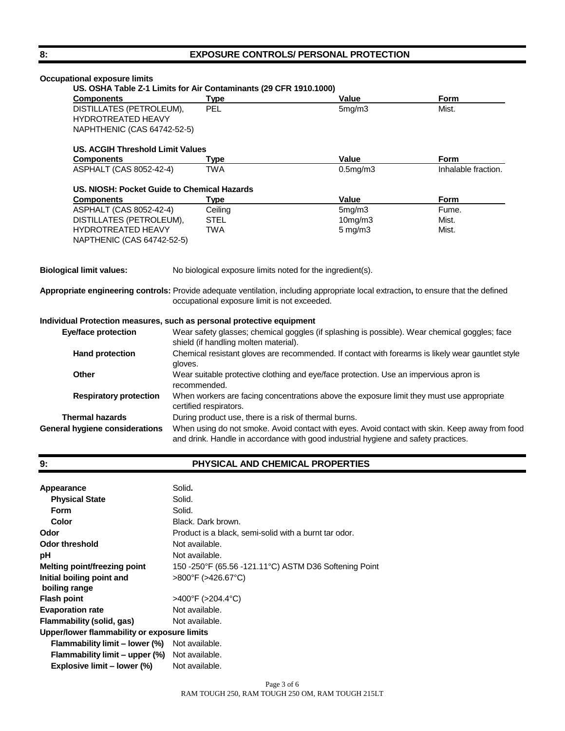# 8: **EXPOSURE CONTROLS/ PERSONAL PROTECTION**

| <b>Occupational exposure limits</b>                                                  |                                                                                                                                        |                                                                                                                                                                                      |                     |
|--------------------------------------------------------------------------------------|----------------------------------------------------------------------------------------------------------------------------------------|--------------------------------------------------------------------------------------------------------------------------------------------------------------------------------------|---------------------|
| <b>Components</b>                                                                    | US. OSHA Table Z-1 Limits for Air Contaminants (29 CFR 1910.1000)<br><b>Type</b>                                                       | <b>Value</b>                                                                                                                                                                         | <b>Form</b>         |
| DISTILLATES (PETROLEUM),<br><b>HYDROTREATED HEAVY</b><br>NAPHTHENIC (CAS 64742-52-5) | PEL                                                                                                                                    | 5mg/m3                                                                                                                                                                               | Mist.               |
| US. ACGIH Threshold Limit Values                                                     |                                                                                                                                        |                                                                                                                                                                                      |                     |
| <b>Components</b>                                                                    | Type                                                                                                                                   | Value                                                                                                                                                                                | <b>Form</b>         |
| ASPHALT (CAS 8052-42-4)                                                              | <b>TWA</b>                                                                                                                             | $0.5$ mg/m $3$                                                                                                                                                                       | Inhalable fraction. |
| US. NIOSH: Pocket Guide to Chemical Hazards                                          |                                                                                                                                        |                                                                                                                                                                                      |                     |
| <b>Components</b>                                                                    | <b>Type</b>                                                                                                                            | Value                                                                                                                                                                                | <b>Form</b>         |
| ASPHALT (CAS 8052-42-4)                                                              | Ceiling                                                                                                                                | 5mg/m3                                                                                                                                                                               | Fume.               |
| DISTILLATES (PETROLEUM),                                                             | <b>STEL</b>                                                                                                                            | $10$ mg/m $3$                                                                                                                                                                        | Mist.               |
| <b>HYDROTREATED HEAVY</b><br>NAPTHENIC (CAS 64742-52-5)                              | <b>TWA</b>                                                                                                                             | $5 \text{ mg/m}$ 3                                                                                                                                                                   | Mist.               |
| <b>Biological limit values:</b>                                                      | No biological exposure limits noted for the ingredient(s).                                                                             | Appropriate engineering controls: Provide adequate ventilation, including appropriate local extraction, to ensure that the defined                                                   |                     |
|                                                                                      | occupational exposure limit is not exceeded.                                                                                           |                                                                                                                                                                                      |                     |
| Individual Protection measures, such as personal protective equipment                |                                                                                                                                        |                                                                                                                                                                                      |                     |
| <b>Eye/face protection</b>                                                           | Wear safety glasses; chemical goggles (if splashing is possible). Wear chemical goggles; face<br>shield (if handling molten material). |                                                                                                                                                                                      |                     |
| <b>Hand protection</b>                                                               | Chemical resistant gloves are recommended. If contact with forearms is likely wear gauntlet style<br>gloves.                           |                                                                                                                                                                                      |                     |
| Other                                                                                | Wear suitable protective clothing and eye/face protection. Use an impervious apron is<br>recommended.                                  |                                                                                                                                                                                      |                     |
| <b>Respiratory protection</b>                                                        | When workers are facing concentrations above the exposure limit they must use appropriate<br>certified respirators.                    |                                                                                                                                                                                      |                     |
| <b>Thermal hazards</b>                                                               | During product use, there is a risk of thermal burns.                                                                                  |                                                                                                                                                                                      |                     |
| <b>General hygiene considerations</b>                                                |                                                                                                                                        | When using do not smoke. Avoid contact with eyes. Avoid contact with skin. Keep away from food<br>and drink. Handle in accordance with good industrial hygiene and safety practices. |                     |

# **9: PHYSICAL AND CHEMICAL PROPERTIES**

| Appearance                                  | Solid.                                                |  |
|---------------------------------------------|-------------------------------------------------------|--|
| <b>Physical State</b>                       | Solid.                                                |  |
| Form                                        | Solid.                                                |  |
| Color                                       | Black. Dark brown.                                    |  |
| Odor                                        | Product is a black, semi-solid with a burnt tar odor. |  |
| Odor threshold                              | Not available.                                        |  |
| рH                                          | Not available.                                        |  |
| Melting point/freezing point                | 150 -250°F (65.56 -121.11°C) ASTM D36 Softening Point |  |
| Initial boiling point and<br>boiling range  | >800°F (>426.67°C)                                    |  |
| <b>Flash point</b>                          | $>400^{\circ}$ F ( $>204.4^{\circ}$ C)                |  |
| <b>Evaporation rate</b>                     | Not available.                                        |  |
| Flammability (solid, gas)                   | Not available.                                        |  |
| Upper/lower flammability or exposure limits |                                                       |  |
| Flammability limit – lower (%)              | Not available.                                        |  |
| Flammability limit – upper (%)              | Not available.                                        |  |
| Explosive limit - lower (%)                 | Not available.                                        |  |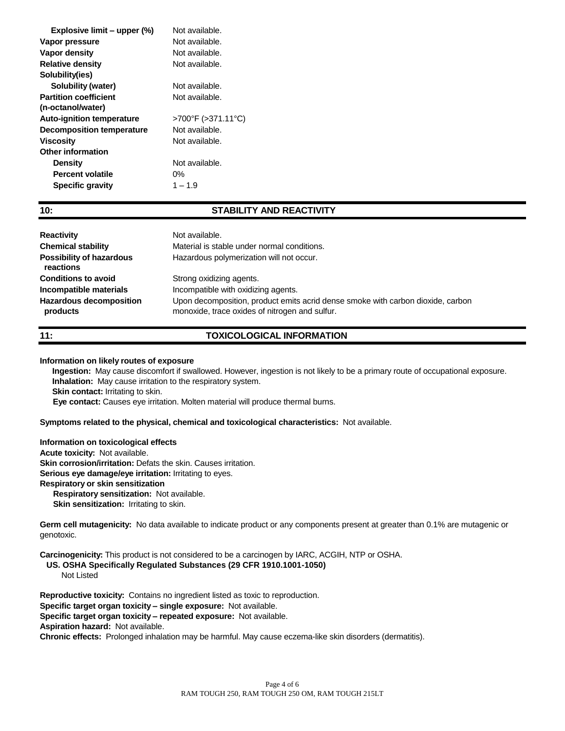| Explosive limit - upper (%)      | Not available.     |
|----------------------------------|--------------------|
| Vapor pressure                   | Not available.     |
| <b>Vapor density</b>             | Not available.     |
| <b>Relative density</b>          | Not available.     |
| Solubility(ies)                  |                    |
| Solubility (water)               | Not available.     |
| <b>Partition coefficient</b>     | Not available.     |
| (n-octanol/water)                |                    |
| <b>Auto-ignition temperature</b> | >700°F (>371.11°C) |
| <b>Decomposition temperature</b> | Not available.     |
| <b>Viscosity</b>                 | Not available.     |
| Other information                |                    |
| <b>Density</b>                   | Not available.     |
| <b>Percent volatile</b>          | 0%                 |
| <b>Specific gravity</b>          | $1 - 1.9$          |
|                                  |                    |

# **10: STABILITY AND REACTIVITY**

| <b>Reactivity</b><br><b>Chemical stability</b><br><b>Possibility of hazardous</b><br>reactions | Not available.<br>Material is stable under normal conditions.<br>Hazardous polymerization will not occur. |
|------------------------------------------------------------------------------------------------|-----------------------------------------------------------------------------------------------------------|
| <b>Conditions to avoid</b>                                                                     | Strong oxidizing agents.                                                                                  |
| Incompatible materials                                                                         | Incompatible with oxidizing agents.                                                                       |
| <b>Hazardous decomposition</b>                                                                 | Upon decomposition, product emits acrid dense smoke with carbon dioxide, carbon                           |
| products                                                                                       | monoxide, trace oxides of nitrogen and sulfur.                                                            |

# **11: TOXICOLOGICAL INFORMATION**

#### **Information on likely routes of exposure**

**Ingestion:** May cause discomfort if swallowed. However, ingestion is not likely to be a primary route of occupational exposure. **Inhalation:** May cause irritation to the respiratory system. **Skin contact:** Irritating to skin.

 **Eye contact:** Causes eye irritation. Molten material will produce thermal burns.

### **Symptoms related to the physical, chemical and toxicological characteristics:** Not available.

**Information on toxicological effects Acute toxicity:** Not available.

**Skin corrosion/irritation:** Defats the skin. Causes irritation.

**Serious eye damage/eye irritation:** Irritating to eyes.

### **Respiratory or skin sensitization**

 **Respiratory sensitization:** Not available. **Skin sensitization: Irritating to skin.** 

**Germ cell mutagenicity:** No data available to indicate product or any components present at greater than 0.1% are mutagenic or genotoxic.

**Carcinogenicity:** This product is not considered to be a carcinogen by IARC, ACGIH, NTP or OSHA.

**US. OSHA Specifically Regulated Substances (29 CFR 1910.1001-1050)**

Not Listed

**Reproductive toxicity:** Contains no ingredient listed as toxic to reproduction.

**Specific target organ toxicity – single exposure:** Not available.

**Specific target organ toxicity – repeated exposure:** Not available.

**Aspiration hazard:** Not available.

**Chronic effects:** Prolonged inhalation may be harmful. May cause eczema-like skin disorders (dermatitis).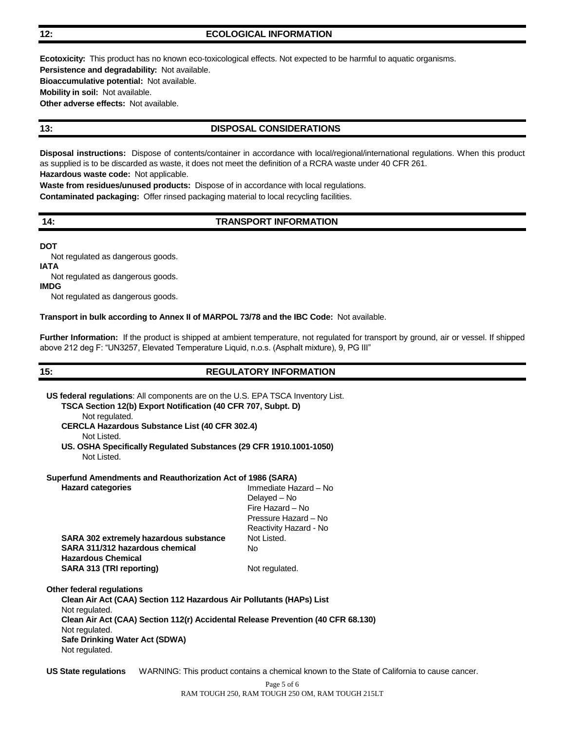### **12: ECOLOGICAL INFORMATION**

**Ecotoxicity:** This product has no known eco-toxicological effects. Not expected to be harmful to aquatic organisms. **Persistence and degradability:** Not available. **Bioaccumulative potential:** Not available. **Mobility in soil:** Not available. **Other adverse effects:** Not available.

# **13: DISPOSAL CONSIDERATIONS**

**Disposal instructions:** Dispose of contents/container in accordance with local/regional/international regulations. When this product as supplied is to be discarded as waste, it does not meet the definition of a RCRA waste under 40 CFR 261. **Hazardous waste code:** Not applicable.

**Waste from residues/unused products:** Dispose of in accordance with local regulations.

**Contaminated packaging:** Offer rinsed packaging material to local recycling facilities.

## **14: TRANSPORT INFORMATION**

**DOT** Not regulated as dangerous goods.

**IATA**

Not regulated as dangerous goods.

**IMDG**

Not regulated as dangerous goods.

#### **Transport in bulk according to Annex II of MARPOL 73/78 and the IBC Code:** Not available.

**Further Information:** If the product is shipped at ambient temperature, not regulated for transport by ground, air or vessel. If shipped above 212 deg F: "UN3257, Elevated Temperature Liquid, n.o.s. (Asphalt mixture), 9, PG III"

# **15: REGULATORY INFORMATION**

| <b>US federal requiations:</b> All components are on the U.S. EPA TSCA Inventory List.<br>TSCA Section 12(b) Export Notification (40 CFR 707, Subpt. D)<br>Not regulated.                                                                                                            |                                                                                             |  |  |
|--------------------------------------------------------------------------------------------------------------------------------------------------------------------------------------------------------------------------------------------------------------------------------------|---------------------------------------------------------------------------------------------|--|--|
| <b>CERCLA Hazardous Substance List (40 CFR 302.4)</b><br>Not Listed.                                                                                                                                                                                                                 |                                                                                             |  |  |
| US. OSHA Specifically Regulated Substances (29 CFR 1910.1001-1050)<br>Not Listed.                                                                                                                                                                                                    |                                                                                             |  |  |
| Superfund Amendments and Reauthorization Act of 1986 (SARA)                                                                                                                                                                                                                          |                                                                                             |  |  |
| <b>Hazard categories</b>                                                                                                                                                                                                                                                             | Immediate Hazard - No<br>Delayed - No<br>Fire Hazard - No<br>Pressure Hazard - No           |  |  |
|                                                                                                                                                                                                                                                                                      | Reactivity Hazard - No                                                                      |  |  |
| SARA 302 extremely hazardous substance<br>SARA 311/312 hazardous chemical<br><b>Hazardous Chemical</b>                                                                                                                                                                               | Not Listed.<br>No.                                                                          |  |  |
| SARA 313 (TRI reporting)                                                                                                                                                                                                                                                             | Not regulated.                                                                              |  |  |
| <b>Other federal requlations</b><br>Clean Air Act (CAA) Section 112 Hazardous Air Pollutants (HAPs) List<br>Not regulated.<br>Clean Air Act (CAA) Section 112(r) Accidental Release Prevention (40 CFR 68.130)<br>Not regulated.<br>Safe Drinking Water Act (SDWA)<br>Not regulated. |                                                                                             |  |  |
| <b>US State regulations</b>                                                                                                                                                                                                                                                          | WARNING: This product contains a chemical known to the State of California to cause cancer. |  |  |
|                                                                                                                                                                                                                                                                                      | Page 5 of 6                                                                                 |  |  |

RAM TOUGH 250, RAM TOUGH 250 OM, RAM TOUGH 215LT